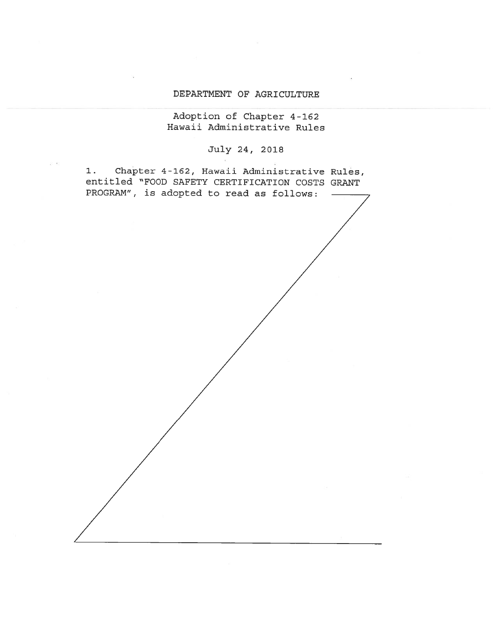## DEPARTMENT OF AGRICULTURE

Adoption of Chapter 4-162 Hawaii Administrative Rules

July 24, 2018

1. Chapter 4-162, Hawaii Administrative Rules, entitled "FOOD SAFETY CERTIFICATION COSTS GRANT PROGRAM", is adopted to read as follows: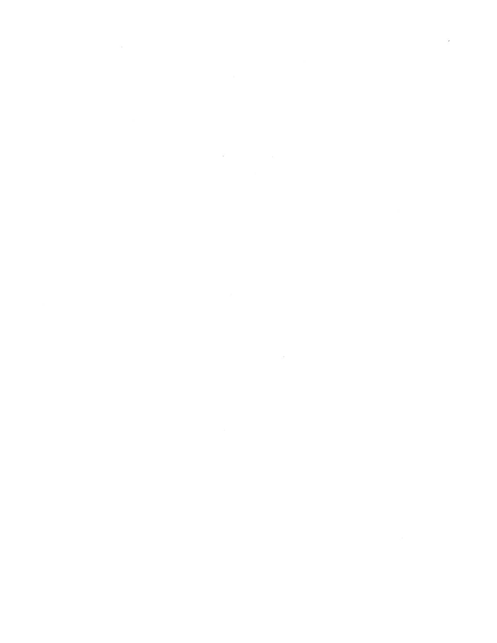$\label{eq:V} \tilde{V} = \frac{1}{2} \left( \begin{array}{cc} \tilde{V} & \tilde{V} \\ \tilde{V} & \tilde{V} \end{array} \right)$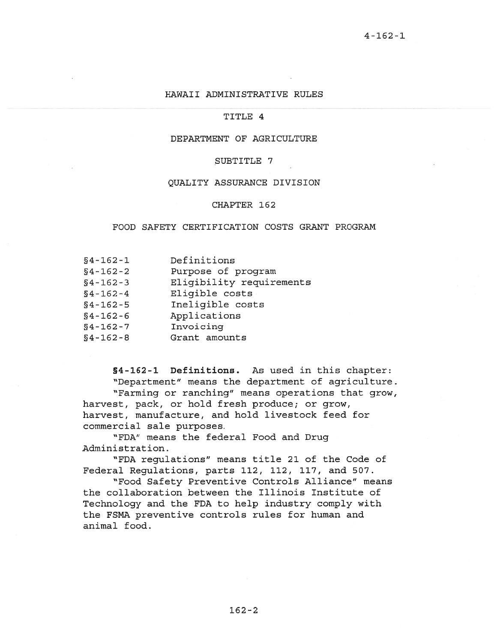#### HAWAII ADMINISTRATIVE RULES

## TITLE 4

## DEPARTMENT OF AGRICULTURE

#### SUBTITLE 7

## QUALITY ASSURANCE DIVISION

#### CHAPTER 162

#### FOOD SAFETY CERTIFICATION COSTS GRANT PROGRAM

| $$4 - 162 - 1$ | Detinitions              |
|----------------|--------------------------|
| $$4 - 162 - 2$ | Purpose of program       |
| $$4 - 162 - 3$ | Eligibility requirements |
| $$4 - 162 - 4$ | Eligible costs           |
| $$4 - 162 - 5$ | Ineligible costs         |
| $$4 - 162 - 6$ | Applications             |
| $$4 - 162 - 7$ | Invoicinq                |
| $$4 - 162 - 8$ | Grant amounts            |

§4-162-1 Definitions. As used in this chapter: "Department" means the department of agriculture. "Farming or ranching" means operations that grow,

harvest, pack, or hold fresh produce; or grow, harvest, manufacture, and hold livestock feed for commercial sale purposes.

"FDA" means the federal Food and Drug Administration.

"FDA regulations" means title 21 of the Code of Federal Regulations, parts 112, 112, 117, and 507.

"Food Safety Preventive Controls Alliance" means the collaboration between the Illinois Institute of Technology and the FDA to help industry comply with the FSMA preventive controls rules for human and animal food.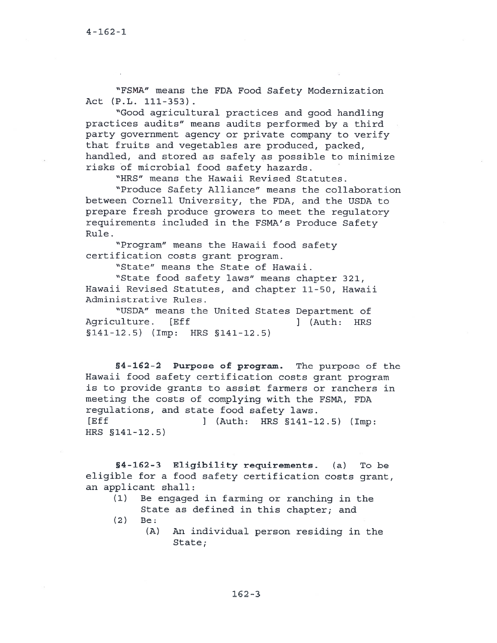"FSMA" means the FDA Food Safety Modernization Act (P.L. 111-353)

"Good agricultural practices and good handling practices audits" means audits performed by <sup>a</sup> third party governmen<sup>t</sup> agency or private company to verify that fruits and vegetables are produced, packed, handled, and stored as safely as possible to minimize risks of microbial food safety hazards.

"HRS" means the Hawaii Revised Statutes.

"Produce Safety Alliance" means the collaboration between Cornell University, the FDA, and the USDA to prepare fresh produce growers to meet the regulatory requirements included in the FSMA's Produce Safety Rule.

"Program" means the Hawaii food safety certification costs grant program.

"State" means the State of Hawaii.

"State food safety laws" means chapter 321, Hawaii Revised Statutes, and chapter 11-50, Hawaii Administrative Rules.

"USDA" means the United States Department of Agriculture. [Eff  $\qquad$  ] (Auth: HRS §141-12.5) (Imp: HRS §141-12.5)

§4-162-2 Purpose of program. The purpose of the Hawaii food safety certification costs gran<sup>t</sup> program is to provide grants to assist farmers or ranchers in meeting the costs of complying with the FSMA, FDA regulations, and state food safety laws. [Eff ] (Auth: HRS §141-12.5) (Imp: HRS §141-12.5)

§4-162-3 Eligibility requirements. (a) To be eligible for <sup>a</sup> food safety certification costs grant, an applicant shall:

- (1) Be engaged in farming or ranching in the State as defined in this chapter; and
- (2) Be: (A) An individual person residing in the State;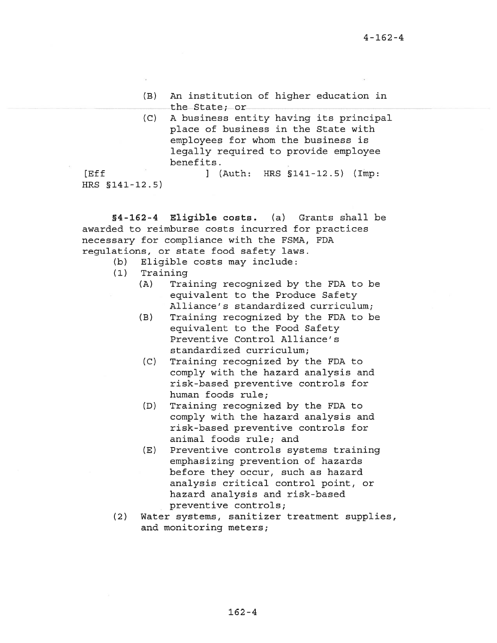- (3) An institution of higher education in the State; or
- (C) A business entity having its principal place of business in the State with employees for whom the business is legally required to provide employee benefits.

[Eff ] (Auth: HRS §141-12.5) (Imp: HRS §141-12.5)

§4-162-4 Eligible costs. (a) Grants shall be awarded to reimburse costs incurred for practices necessary for compliance with the FSMA, FDA regulations, or state food safety laws.

(b) Eligible costs may include:

- (1) Training
	- (A) Training recognized by the FDA to be equivalent to the Produce Safety Alliance's standardized curriculum;
	- (3) Training recognized by the FDA to be equivalent to the Food Safety Preventive Control Alliance's standardized curriculum;
	- (C) Training recognized by the FDA to comply with the hazard analysis and risk-based preventive controls for human foods rule;
	- (D) Training recognized by the FDA to comply with the hazard analysis and risk-based preventive controls for animal foods rule; and
	- (E) Preventive controls systems training emphasizing prevention of hazards before they occur, such as hazard analysis critical control point, or hazard analysis and risk-based preventive controls;
- (2) Water systems, sanitizer treatment supplies, and monitoring meters;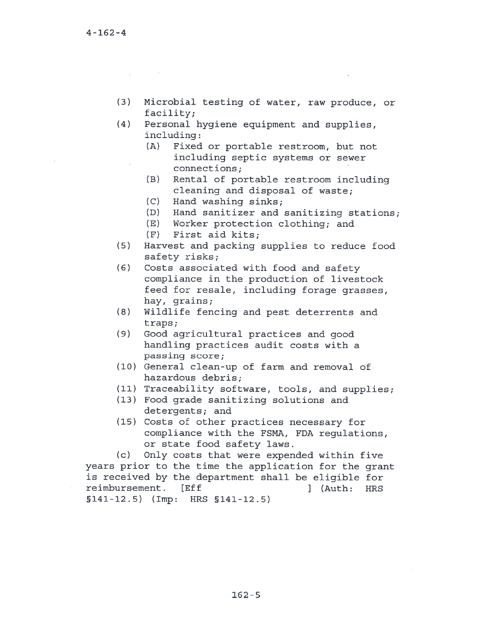- (3) Microbial testing of water, raw produce, or facility;
- (4) Personal hygiene equipment and supplies, including:
	- (A) Fixed or portable restroom, but not including septic systems or sewer connections;
	- (B) Rental of portable restroom including cleaning and disposal of waste;
	- (C) Hand washing sinks;
	- (ID) Hand sanitizer and sanitizing stations;
	- (E) Worker protection clothing; and
	- (F) First aid kits;
- (5) Harvest and packing supplies to reduce food safety risks;
- (6) Costs associated with food and safety compliance in the production of livestock feed for resale, including forage grasses hay, grains;
- (8) Wildlife fencing and pes<sup>t</sup> deterrents and traps;
- (9) Good agricultural practices and good handling practices audit costs with <sup>a</sup> passing score;
- (10) General clean-up of farm and removal of hazardous debris;
- (11) Traceability software, tools, and supplies;
- (13) Food grade sanitizing solutions and detergents; and
- (15) Costs of other practices necessary for compliance with the FSMA, FDA regulations, or state food safety laws.

(c) Only costs that were expended within five years prior to the time the application for the gran<sup>t</sup> is received by the department shall be eligible for reimbursement.[Eff I (Auth: HRS §141-12.5) (Imp: HRS §141-12.5)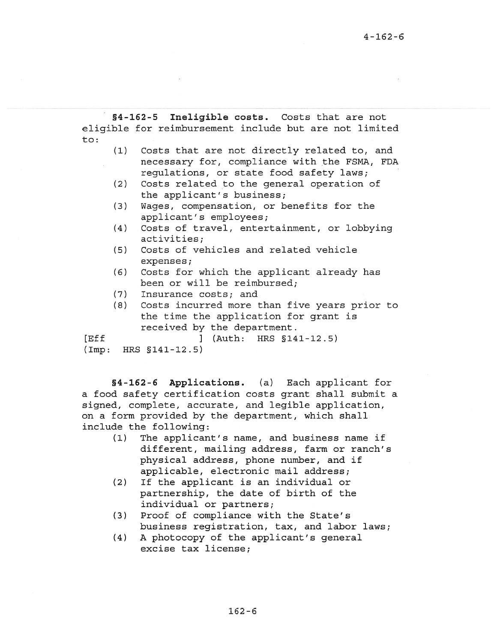§4-162-5 Ineligible costs. Costs that are not eligible for reimbursement include but are not limited to:

- (1) Costs that are not directly related to, and necessary for, compliance with the FSMA, FDA regulations, or state food safety laws;
- (2) Costs related to the general operation of the applicant's business;
- (3) Wages, compensation, or benefits for the applicant's employees;
- (4) Costs of travel, entertainment, or lobbying activities;
- (5) Costs of vehicles and related vehicle expenses;
- (6) Costs for which the applicant already has been or will be reimbursed;
- (7) Insurance costs; and
- (8) Costs incurred more than five years prior to the time the application for gran<sup>t</sup> is received by the department.

[Eff ] (Auth: HRS §141-12.5)

(Imp: HRS §141-12.5)

§4-162-6 Applications. (a) Each applicant for <sup>a</sup> food safety certification costs gran<sup>t</sup> shall submit <sup>a</sup> signed, complete, accurate, and legible application, on <sup>a</sup> form provided by the department, which shall include the following:

- (1) The applicant's name, and business name if different, mailing address, farm or ranch's physical address, phone number, and if applicable, electronic mail address;
- (2) If the applicant is an individual or partnership, the date of birth of the individual or partners;
- (3) Proof of compliance with the State's business registration, tax, and labor laws;
- (4) A photocopy of the applicant's general excise tax license;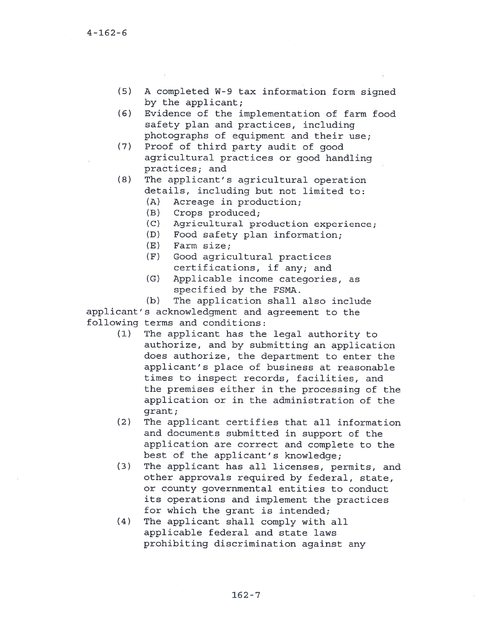- (5) <sup>A</sup> completed W-9 tax information form signed by the applicant;
- (6) Evidence of the implementation of farm food safety plan and practices, including photographs of equipment and their use;
- (7) Proof of third party audit of good agricultural practices or good handling practices; and
- (8) The applicant's agricultural operation details, including but not limited to:
	- (A) Acreage in production;
	- (B) Crops produced;
	- (C) Agricultural production experience;
	- (ID) Food safety plan information;
	- (B) Farm size;
	- (F) Good agricultural practices certifications, if any; and
	- (G) Applicable income categories, as specified by the FSMA.

(b) The application shall also include applicant's acknowledgment and agreemen<sup>t</sup> to the following terms and conditions:

- (1) The applicant has the legal authority to authorize, and by submitting an application does authorize, the department to enter the applicant's place of business at reasonable times to inspect records, facilities, and the premises either in the processing of the application or in the administration of the grant;
- (2) The applicant certifies that all information and documents submitted in suppor<sup>t</sup> of the application are correct and complete to the best of the applicant's knowledge;
- (3) The applicant has all licenses, permits, and other approvals required by federal, state, or county governmental entities to conduct its operations and implement the practices for which the gran<sup>t</sup> is intended;
- (4) The applicant shall comply with all applicable federal and state laws prohibiting discrimination against any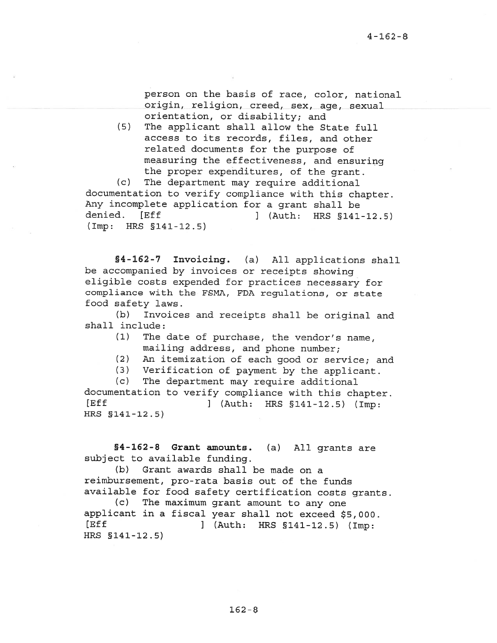person on the basis of race, color, national origin, religion, creed, sex, age, sexual orientation, or disability; and

(5) The applicant shall allow the State full access to its records, files, and other related documents for the purpose of measuring the effectiveness, and ensuring the proper expenditures, of the grant.

(c) The department may require additional documentation to verify compliance with this chapter. Any incomplete application for <sup>a</sup> grant shall be denied. [Eff ] (Auth: HRS §141-12.5) (Imp: FIRS §141-12.5)

§4-162-7 Invoicing. (a) All applications shall be accompanied by invoices or receipts showing eligible costs expended for practices necessary for compliance with the FSMA, FDA regulations, or state food safety laws.

(b) Invoices and receipts shall be original and shall include:

(1) The date of purchase, the vendor's name, mailing address, and phone number;

(2) An itemization of each good or service; and

(3) Verification of payment by the applicant.

(c) The department may require additional documentation to verify compliance with this chapter. [Eff ] (Auth: HRS  $$141-12.5)$  (Imp: FIRS §141-12.5)

§4-162-8 Grant amounts. (a) All grants are subject to available funding.

(b) Grant awards shall be made on <sup>a</sup> reimbursement, pro-rata basis out of the funds available for food safety certification costs grants.

(c) The maximum grant amount to any one applicant in <sup>a</sup> fiscal year shall not exceed \$5,000. [Eff ] (Auth: HRS  $$141-12.5$ ) (Imp: FIRS §141-12.5)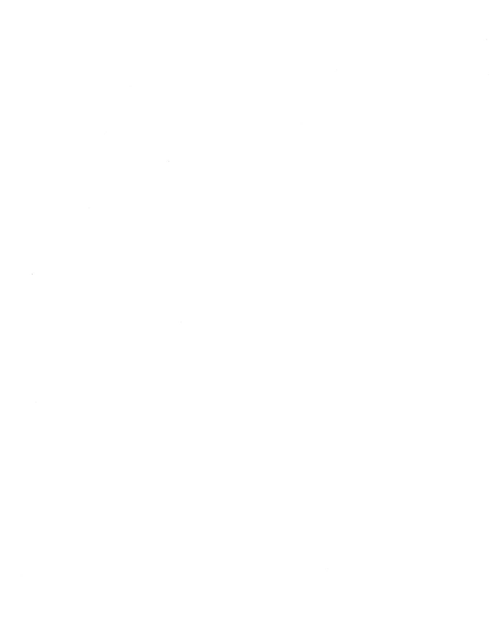$\label{eq:3.1} \mathbf{B} = \mathbf{B} + \mathbf{B}$  $\sim 10^{11}$  . The second state  $\sim 10^{11}$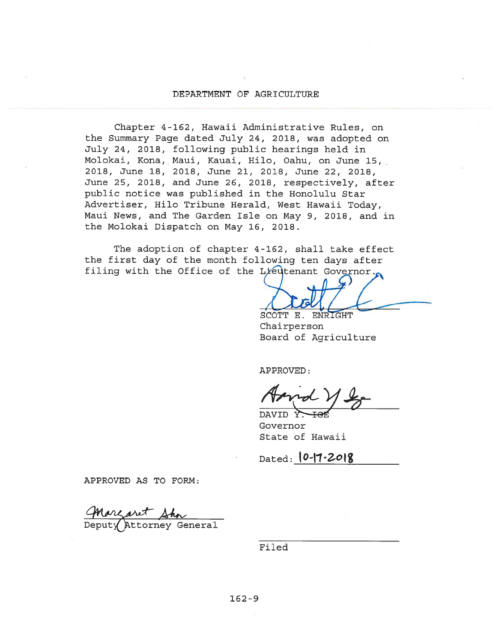## DEPARTMENT OF AGRICULTURE

Chapter 4-162, Hawaii Administrative Rules, on the Summary Page dated July 24, 2018, was adopted on July 24, 2018, following public hearings held in Molokai, Kona, Maui, Kauai, Hilo, Oahu, on June 15, 2018, June 18, 2018, June 21, 2018, June 22, 2018, June 25, 2018, and June 26, 2018, respectively, after public notice was published in the Honolulu Star Advertiser, Hilo Tribune Herald, West Hawaii Today, Maui News, and The Garden Isle on May 9, 2018, and in the Molokai Dispatch on May 16, 2018.

The adoption of chapter 4-162, shall take effect the first day of the month following ten days after filing with the Office of the Lieutenant Governor

SCOTT E. ENRIGHT

Chairperson Board of Agriculture

APPROVED:

VID Professor W legal

DAVID Governor State of Hawaii

Dated: **0-17-2018** 

APPROVED AS TO FORM:

Attorney General

Filed